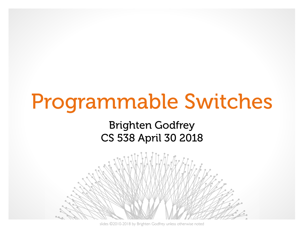# Programmable Switches

#### Brighten Godfrey CS 538 April 30 2018



slides ©2010-2018 by Brighten Godfrey unless otherwise noted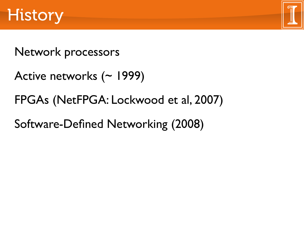

## Network processors

```
Active networks (~ 1999)
```
## FPGAs (NetFPGA: Lockwood et al, 2007)

Software-Defined Networking (2008)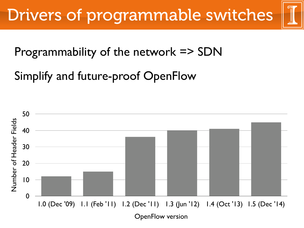

## Programmability of the network => SDN

Simplify and future-proof OpenFlow

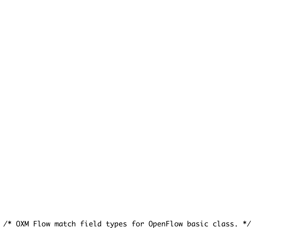/\* OXM Flow match field types for OpenFlow basic class. \*/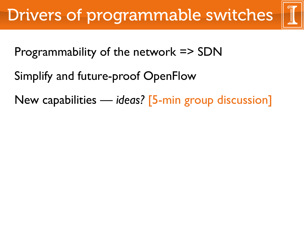

- Programmability of the network => SDN
- Simplify and future-proof OpenFlow
- New capabilities *ideas?* [5-min group discussion]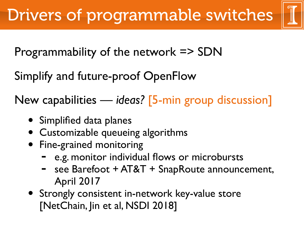

Programmability of the network => SDN

Simplify and future-proof OpenFlow

New capabilities — *ideas?* [5-min group discussion]

- Simplified data planes
- Customizable queueing algorithms
- Fine-grained monitoring
	- e.g. monitor individual flows or microbursts
	- see Barefoot + AT&T + SnapRoute announcement, April 2017
- Strongly consistent in-network key-value store [NetChain, Jin et al, NSDI 2018]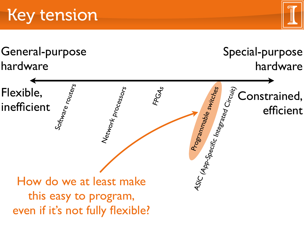



General-purpose hardware

Special-purpose hardware

Flexible, inefficient Constrained, efficient Software routers FPGAs Network processors ASIC (App-Specific Integrated Circuit) How do we at least make this easy to program, even if it's not fully flexible?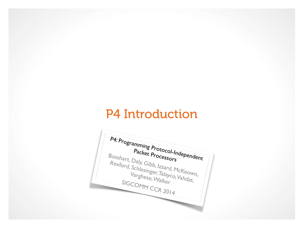## P4 Introduction

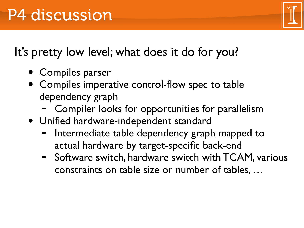It's pretty low level; what does it do for you?

- Compiles parser
- Compiles imperative control-flow spec to table dependency graph
	- Compiler looks for opportunities for parallelism
- Unified hardware-independent standard
	- Intermediate table dependency graph mapped to actual hardware by target-specific back-end
	- Software switch, hardware switch with TCAM, various constraints on table size or number of tables, …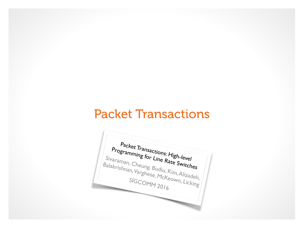### Packet Transactions

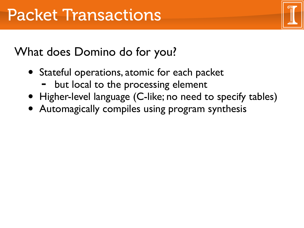## What does Domino do for you?

- Stateful operations, atomic for each packet
	- but local to the processing element
- Higher-level language (C-like; no need to specify tables)
- Automagically compiles using program synthesis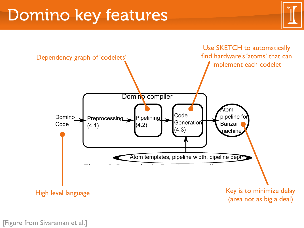# Domino key features



[Figure from Sivaraman et al.] Subsetted and the set of the set of the set of the set of the set of the set of the set of the set of the set of the set of the set of the set of the set of the set of the set of the set of t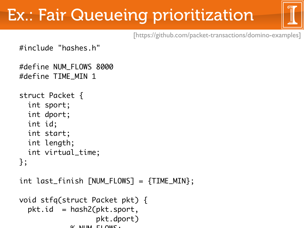# Ex.: Fair Queueing prioritization



[https://github.com/packet-transactions/domino-examples]

```
#include "hashes.h"
```

```
#define NUM_FLOWS 8000
#define TIME_MIN 1
```

```
struct Packet {
   int sport;
   int dport;
   int id;
   int start;
   int length;
   int virtual_time;
};
```

```
int last_finish [NUM_FLOWS] = \{TIME_MIN\};
```

```
void stfq(struct Packet pkt) {
  pktid = hash2(pkt.sport, pkt.dport)
            \Omega NIIM FLOMC.
```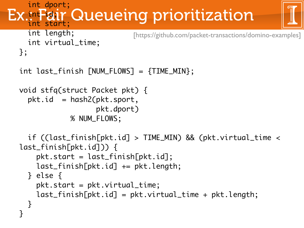```
Queueing prioritization
   int dport;
 int id; r
   int start;
   int length;
   int virtual_time;
};
int last_finish [NUM_FLOWS] = {TIME_MIN};void stfq(struct Packet pkt) {
  pkt.id = hash2(pkt.sport, pkt.dport)
             % NUM_FLOWS;
   if ((last_finish[pkt.id] > TIME_MIN) && (pkt.virtual_time < 
last_finish[pkt.id])) {
    pkt.start = last\_finish[pkt.id]; last_finish[pkt.id] += pkt.length;
   } else {
     pkt.start = pkt.virtual_time;
     last_finish[pkt.id] = pkt.virtual_time + pkt.length;
   }
}<br>}
                            [https://github.com/packet-transactions/domino-examples]
```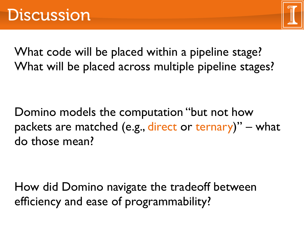

What code will be placed within a pipeline stage? What will be placed across multiple pipeline stages?

Domino models the computation "but not how packets are matched (e.g., direct or ternary)" – what do those mean?

How did Domino navigate the tradeoff between efficiency and ease of programmability?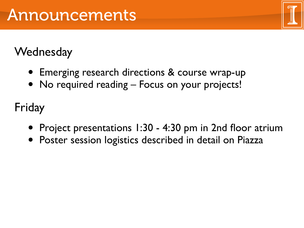## **Wednesday**

- Emerging research directions & course wrap-up
- No required reading Focus on your projects!

Friday

- Project presentations 1:30 4:30 pm in 2nd floor atrium
- Poster session logistics described in detail on Piazza